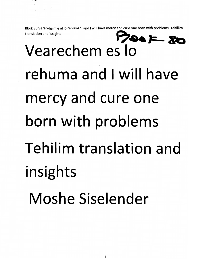*Bbok80 Verarahaim e al lo rehumah and Iwill have mercy and cure one born with problems, Tehillim translation and insights*  $700 = 80$ 

a na sala

## *Vearechem es lo rehuma and I will have mercy and cure one born with problems Tehilim translation and insights*

*Moshe Siselender*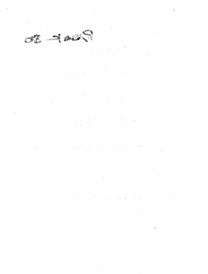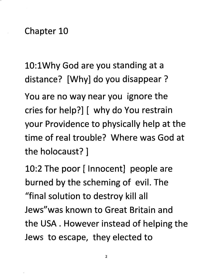*10:lWhy God are you standing at a distance? [Why] do you disappear ?*

*You are no way near you ignore the cries for help?] [ why do You restrain your Providence to physically help at the time of real trouble? Where was God at the holocaust? ]*

*10:2 The poor [ Innocent] people are burned by the scheming of evil. The "final solution to destroy kill all Jews"was known to Great Britain and the USA . However instead of helping the Jews to escape, they elected to*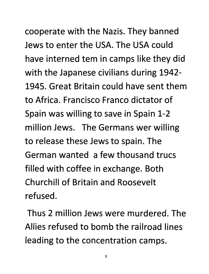cooperate with the Nazis. They banned Jews to enter the USA. The USA could have interned tem in camps like they did with the Japanese civilians during 1942- 1945. Great Britain could have sent them to Africa. Francisco Franco dictator of Spain was willing to save in Spain 1-2 million Jews. The Germans wer willing to release these Jews to spain. The German wanted a few thousand trues filled with coffee in exchange. Both Churchill of Britain and Roosevelt refused.

Thus 2 million Jews were murdered. The Allies refused to bomb the railroad lines leading to the concentration camps.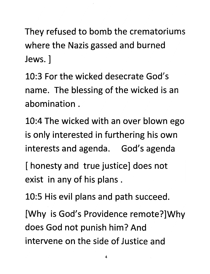They refused to bomb the crematoriums where the Nazis gassed and burned Jews. ]

10:3 For the wicked desecrate God's name. The blessing of the wicked is an abomination .

10:4 The wicked with an over blown ego is only interested in furthering his own interests and agenda. God's agenda

[ honesty and true justice] does not exist in any of his plans .

10:5 His evil plans and path succeed.

[Why is God's Providence remote?]Why does God not punish him? And intervene on the side of Justice and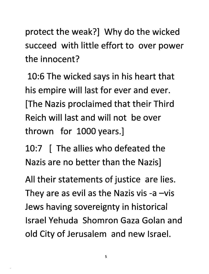protect the weak?] Why do the wicked succeed with little effort to over power the innocent?

10:6 The wicked says in his heart that his empire will last for ever and ever. [The Nazis proclaimed that their Third Reich will last and will not be over thrown for 1000 years.]

10:7 | The allies who defeated the Nazis are no better than the Nazis]

All their statements of justice are lies. They are as evil as the Nazis vis  $-a$  -vis Jews having sovereignty in historical Israel Yehuda Shomron Gaza Golan and old City of Jerusalem and new Israel.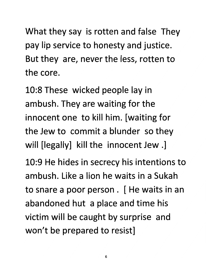*What they say is rotten and false They pay lip service to honesty and justice. But they are, never the less, rotten to the core.*

*10:8 These wicked people lay in ambush. They are waiting for the innocent one to kill him. [waiting for the Jew to commit a blunder so they will [legally] kill the innocent Jew .] 10:9 He hides in secrecy his intentions to ambush. Like a lion he waits in a Sukah to snare a poor person . [ He waits in an abandoned hut a place and time his victim will be caught by surprise and won't be prepared to resist]*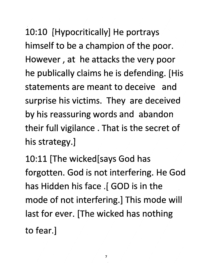*10:10 [Hypocritically] He portrays himself to be a champion of the poor. However, at he attacks the very poor he publically claims he is defending. [His statements are meant to deceive and surprise his victims. They are deceived by his reassuring words and abandon their full vigilance . That isthe secret of his strategy.]*

*10:11 [The wicked [says God has forgotten. God is not interfering. He God has Hidden his face .[ GOD is in the mode of not interfering.] This mode will last for ever. [The wicked has nothing to fear.]*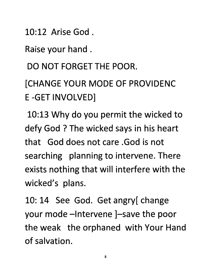*10:12 Arise God .*

*Raise your hand .*

*DO NOT FORGET THE POOR.*

*[CHANGE YOUR MODE OF PROVIDENC E-GET INVOLVED]*

*10:13 Why do you permit the wicked to defy God ? The wicked says in his heart that God does not care .God is not searching planning to intervene. There exists nothing that will interfere with the wicked's plans.*

*10:14 See God. Get angry[ change your mode -Intervene ]-save the poor the weak the orphaned with Your Hand of salvation.*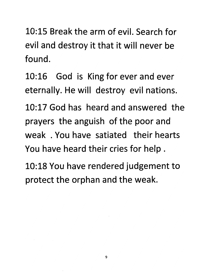*10:15 Break the arm of evil. Search for evil and destroy it that it will never be found.*

*10:16 God is King for ever and ever eternally. He will destroy evil nations.*

*10:17 God has heard and answered the prayers the anguish of the poor and weak . You have satiated their hearts You have heard their cries for help .*

*10:18 You have rendered judgement to protect the orphan and the weak.*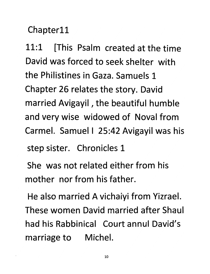## *Chapterll*

*11:1 [This Psalm created at the time David was forced to seek shelter with the Philistines in Gaza. Samuels 1 Chapter 26 relates the story. David married Avigayil, the beautiful humble and very wise widowed of Noval from Carmel. Samuel I 25:42 Avigayil was his*

*step sister. Chronicles 1*

*She was not related either from his mother nor from his father.*

*He also married A vichaiyi from Yizrael. These women David married after Shaul had his Rabbinical Court annul David's marriage to Michel.*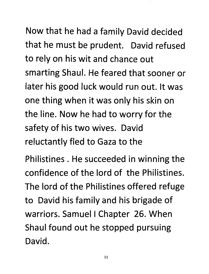*Now that he had a family David decided that he must be prudent. David refused to rely on his wit and chance out smarting Shaul. He feared that sooner or later his good luck would run out. It was one thing when it was only his skin on the line. Now he had to worry for the safety of his two wives. David reluctantly fled to Gaza to the*

*Philistines . He succeeded in winning the confidence of the lord of the Philistines. The lord of the Philistines offered refuge to David his family and his brigade of warriors. Samuel IChapter 26. When Shaul found out he stopped pursuing David.*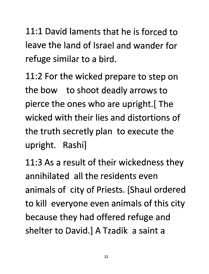11:1 David laments that he is forced to leave the land of Israel and wander for refuge similar to a bird.

11:2 For the wicked prepare to step on the bow to shoot deadly arrows to pierce the ones who are upright.[ The wicked with their lies and distortions of the truth secretly plan to execute the upright. Rashi]

11:3 As a result of their wickedness they annihilated all the residents even animals of city of Priests. [Shaul ordered to kill everyone even animals of this city because they had offered refuge and shelter to David.] A Tzadik a saint a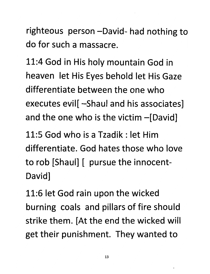righteous person -David- had nothing to do for such a massacre.

11:4 God in His holy mountain God in heaven let His Eyes behold let His Gaze differentiate between the one who executes evil [-Shaul and his associates] and the one who is the victim  $-[David]$ 

11:5 God who is a Tzadik : let Him differentiate. God hates those who love to rob [Shaul] [ pursue the innocent-David]

11:6 let God rain upon the wicked burning coals and pillars of fire should strike them. [At the end the wicked will get their punishment. They wanted to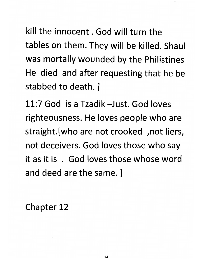*kill the innocent. God will turn the tables on them. They will be killed. Shaul was mortally wounded by the Philistines He died and after requesting that he be stabbed to death. ]*

*11:7 God is a Tzadik -Just. God loves righteousness. He loves people who are straight.[who are not crooked ,not liers, not deceivers. God loves those who say it as it is . God loves those whose word and deed are the same. ]*

*Chapter 12*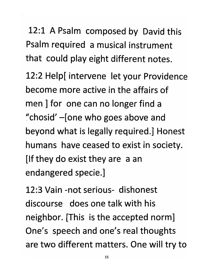*12:1 A Psalm composed by David this Psalm required a musical instrument that could play eight different notes.*

*12:2 Help[ intervene let your Providence become more active in the affairs of men ] for one can no longer find a "chosid' -[one who goes above and beyond what is legally required.] Honest humans have ceased to exist in society. [If they do exist they are a an endangered specie.]*

*12:3 Vain -not serious- dishonest discourse does one talk with his neighbor. [This is the accepted norm] One's speech and one's real thoughts are two different matters. One will try to*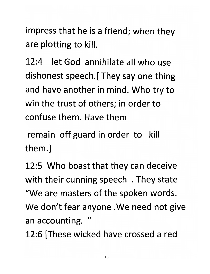impress that he is a friend; when they are plotting to kill.

12:4 let God annihilate all who use dishonest speech.[ They say one thing and have another in mind. Who try to win the trust of others; in order to confuse them. Have them

remain off guard in order to kill them.]

12:5 Who boast that they can deceive with their cunning speech. They state "We are masters of the spoken words. We don't fear anyone .We need not give an accounting. "

12:6 [These wicked have crossed a red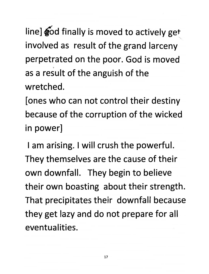*line]* **fod** finally is moved to actively get *involved as result of the grand larceny perpetrated on the poor. God is moved as a result of the anguish of the wretched.*

*[ones who can not control their destiny because of the corruption of the wicked in power]*

*Iam arising. Iwill crush the powerful. They themselves are the cause of their own downfall. They begin to believe their own boasting about their strength. That precipitates their downfall because they get lazy and do not prepare for all eventualities.*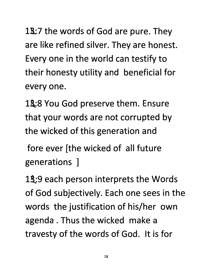*167 the words of God are pure. They are like refined silver. They are honest. Every one in the world can testify to their honesty utility and beneficial for every one.*

*168 You God preserve them. Ensure that your words are not corrupted by the wicked of this generation and*

*fore ever [the wicked of all future generations ]*

*1\$;9 each person interprets the Words of God subjectively. Each one sees in the words the justification of his/her own agenda . Thus the wicked make a travesty of the words of God. It is for*